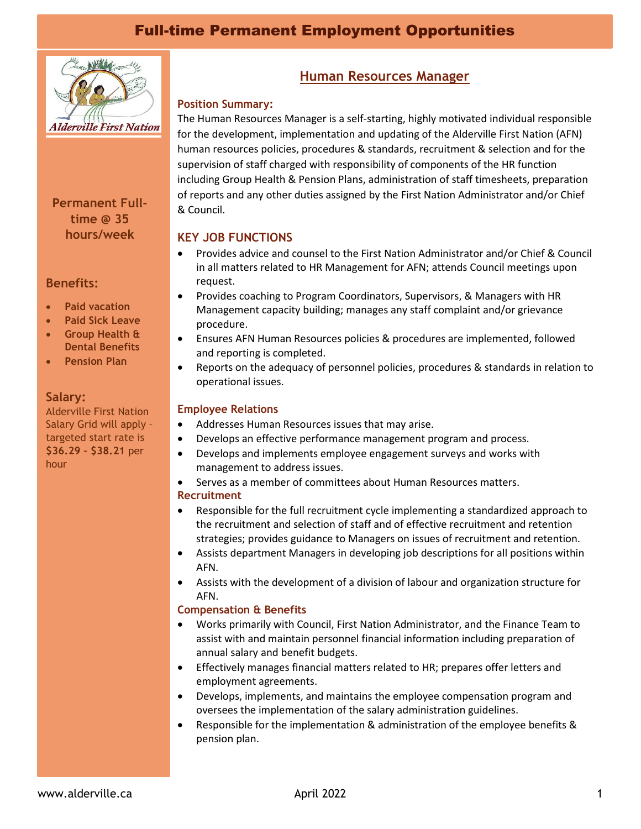# Full-time Permanent Employment Opportunities



**Permanent Fulltime @ 35 hours/week**

### **Benefits:**

- **Paid vacation**
- **Paid Sick Leave**
- **Group Health & Dental Benefits**
- **Pension Plan**

### **Salary:**

Alderville First Nation Salary Grid will apply – targeted start rate is **\$36.29 – \$38.21** per hour

## **Human Resources Manager**

### **Position Summary:**

The Human Resources Manager is a self-starting, highly motivated individual responsible for the development, implementation and updating of the Alderville First Nation (AFN) human resources policies, procedures & standards, recruitment & selection and for the supervision of staff charged with responsibility of components of the HR function including Group Health & Pension Plans, administration of staff timesheets, preparation of reports and any other duties assigned by the First Nation Administrator and/or Chief & Council.

### **KEY JOB FUNCTIONS**

- Provides advice and counsel to the First Nation Administrator and/or Chief & Council in all matters related to HR Management for AFN; attends Council meetings upon request.
- Provides coaching to Program Coordinators, Supervisors, & Managers with HR Management capacity building; manages any staff complaint and/or grievance procedure.
- Ensures AFN Human Resources policies & procedures are implemented, followed and reporting is completed.
- Reports on the adequacy of personnel policies, procedures & standards in relation to operational issues.

### **Employee Relations**

- Addresses Human Resources issues that may arise.
- Develops an effective performance management program and process.
- Develops and implements employee engagement surveys and works with management to address issues.
- Serves as a member of committees about Human Resources matters. **Recruitment**
- Responsible for the full recruitment cycle implementing a standardized approach to the recruitment and selection of staff and of effective recruitment and retention strategies; provides guidance to Managers on issues of recruitment and retention.
- Assists department Managers in developing job descriptions for all positions within AFN.
- Assists with the development of a division of labour and organization structure for AFN.

#### **Compensation & Benefits**

- Works primarily with Council, First Nation Administrator, and the Finance Team to assist with and maintain personnel financial information including preparation of annual salary and benefit budgets.
- Effectively manages financial matters related to HR; prepares offer letters and employment agreements.
- Develops, implements, and maintains the employee compensation program and oversees the implementation of the salary administration guidelines.
- Responsible for the implementation & administration of the employee benefits & pension plan.